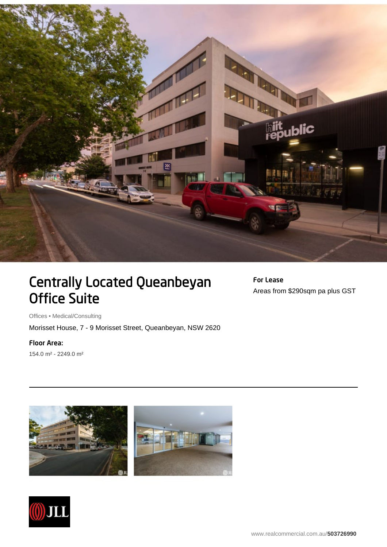

## Centrally Located Queanbeyan Office Suite

For Lease Areas from \$290sqm pa plus GST

Offices • Medical/Consulting

Morisset House, 7 - 9 Morisset Street, Queanbeyan, NSW 2620

Floor Area:

154.0 m² - 2249.0 m²